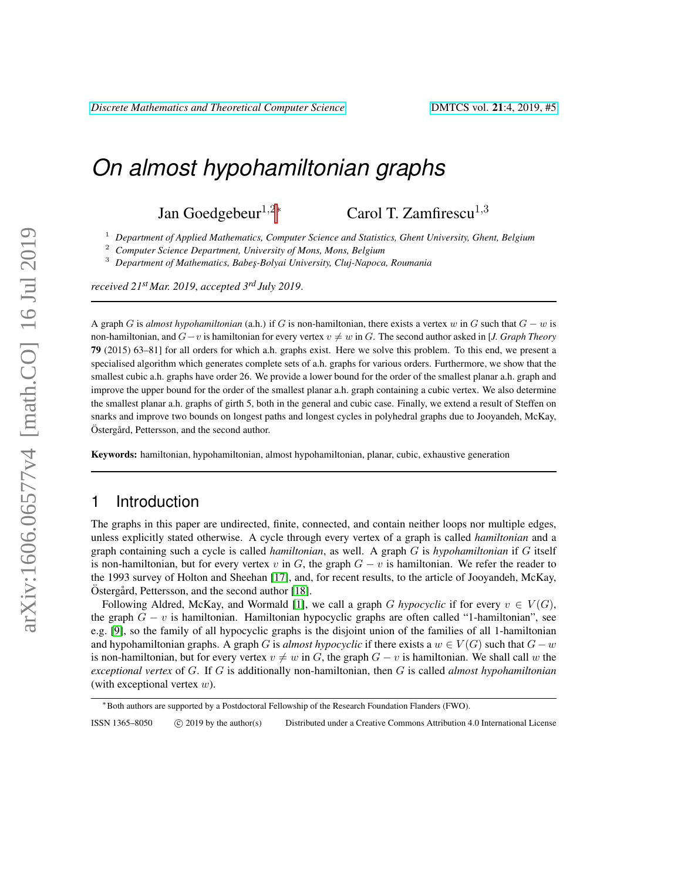# *On almost hypohamiltonian graphs*

Jan Goedgebeur<sup>1,2∗</sup> Carol T. Zamfirescu<sup>1,3</sup>

<sup>1</sup> Department of Applied Mathematics, Computer Science and Statistics, Ghent University, Ghent, Belgium<br><sup>2</sup> Computer Science Department, University of Mana Mana Belgium

<sup>2</sup> *Computer Science Department, University of Mons, Mons, Belgium*

<sup>3</sup> *Department of Mathematics, Babes¸-Bolyai University, Cluj-Napoca, Roumania*

*received 21st Mar. 2019*, *accepted 3rd July 2019*.

A graph G is almost hypohamiltonian (a.h.) if G is non-hamiltonian, there exists a vertex w in G such that  $G - w$  is non-hamiltonian, and  $G-v$  is hamiltonian for every vertex  $v \neq w$  in G. The second author asked in [*J. Graph Theory* 79 (2015) 63–81] for all orders for which a.h. graphs exist. Here we solve this problem. To this end, we present a specialised algorithm which generates complete sets of a.h. graphs for various orders. Furthermore, we show that the smallest cubic a.h. graphs have order 26. We provide a lower bound for the order of the smallest planar a.h. graph and improve the upper bound for the order of the smallest planar a.h. graph containing a cubic vertex. We also determine the smallest planar a.h. graphs of girth 5, both in the general and cubic case. Finally, we extend a result of Steffen on snarks and improve two bounds on longest paths and longest cycles in polyhedral graphs due to Jooyandeh, McKay, Östergård, Pettersson, and the second author.

Keywords: hamiltonian, hypohamiltonian, almost hypohamiltonian, planar, cubic, exhaustive generation

## 1 Introduction

The graphs in this paper are undirected, finite, connected, and contain neither loops nor multiple edges, unless explicitly stated otherwise. A cycle through every vertex of a graph is called *hamiltonian* and a graph containing such a cycle is called *hamiltonian*, as well. A graph G is *hypohamiltonian* if G itself is non-hamiltonian, but for every vertex v in G, the graph  $G - v$  is hamiltonian. We refer the reader to the 1993 survey of Holton and Sheehan [\[17\]](#page-16-0), and, for recent results, to the article of Jooyandeh, McKay,  $Östergård$ , Pettersson, and the second author [\[18\]](#page-16-1).

Following Aldred, McKay, and Wormald [\[1\]](#page-15-0), we call a graph G *hypocyclic* if for every  $v \in V(G)$ , the graph  $G - v$  is hamiltonian. Hamiltonian hypocyclic graphs are often called "1-hamiltonian", see e.g. [\[9\]](#page-16-2), so the family of all hypocyclic graphs is the disjoint union of the families of all 1-hamiltonian and hypohamiltonian graphs. A graph G is *almost hypocyclic* if there exists a  $w \in V(G)$  such that  $G - w$ is non-hamiltonian, but for every vertex  $v \neq w$  in G, the graph  $G - v$  is hamiltonian. We shall call w the *exceptional vertex* of G. If G is additionally non-hamiltonian, then G is called *almost hypohamiltonian* (with exceptional vertex  $w$ ).

ISSN 1365-8050 C 2019 by the author(s) Distributed under a Creative Commons Attribution 4.0 International License

<sup>∗</sup>Both authors are supported by a Postdoctoral Fellowship of the Research Foundation Flanders (FWO).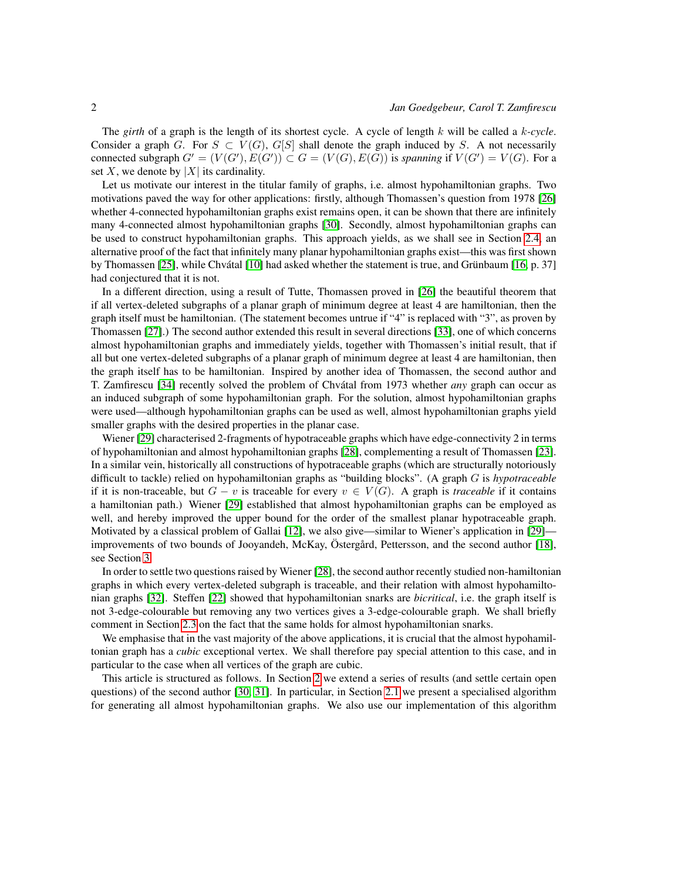The *girth* of a graph is the length of its shortest cycle. A cycle of length k will be called a k*-cycle*. Consider a graph G. For  $S \subset V(G)$ ,  $G[S]$  shall denote the graph induced by S. A not necessarily connected subgraph  $G' = (V(G'), E(G')) \subset G = (V(G), E(G))$  is *spanning* if  $V(G') = V(G)$ . For a set X, we denote by  $|X|$  its cardinality.

Let us motivate our interest in the titular family of graphs, i.e. almost hypohamiltonian graphs. Two motivations paved the way for other applications: firstly, although Thomassen's question from 1978 [\[26\]](#page-17-0) whether 4-connected hypohamiltonian graphs exist remains open, it can be shown that there are infinitely many 4-connected almost hypohamiltonian graphs [\[30\]](#page-17-1). Secondly, almost hypohamiltonian graphs can be used to construct hypohamiltonian graphs. This approach yields, as we shall see in Section [2.4,](#page-10-0) an alternative proof of the fact that infinitely many planar hypohamiltonian graphs exist—this was first shown by Thomassen [\[25\]](#page-17-2), while Chvátal [\[10\]](#page-16-3) had asked whether the statement is true, and Grünbaum [\[16,](#page-16-4) p. 37] had conjectured that it is not.

In a different direction, using a result of Tutte, Thomassen proved in [\[26\]](#page-17-0) the beautiful theorem that if all vertex-deleted subgraphs of a planar graph of minimum degree at least 4 are hamiltonian, then the graph itself must be hamiltonian. (The statement becomes untrue if "4" is replaced with "3", as proven by Thomassen [\[27\]](#page-17-3).) The second author extended this result in several directions [\[33\]](#page-17-4), one of which concerns almost hypohamiltonian graphs and immediately yields, together with Thomassen's initial result, that if all but one vertex-deleted subgraphs of a planar graph of minimum degree at least 4 are hamiltonian, then the graph itself has to be hamiltonian. Inspired by another idea of Thomassen, the second author and T. Zamfirescu [\[34\]](#page-17-5) recently solved the problem of Chvátal from 1973 whether *any* graph can occur as an induced subgraph of some hypohamiltonian graph. For the solution, almost hypohamiltonian graphs were used—although hypohamiltonian graphs can be used as well, almost hypohamiltonian graphs yield smaller graphs with the desired properties in the planar case.

Wiener [\[29\]](#page-17-6) characterised 2-fragments of hypotraceable graphs which have edge-connectivity 2 in terms of hypohamiltonian and almost hypohamiltonian graphs [\[28\]](#page-17-7), complementing a result of Thomassen [\[23\]](#page-17-8). In a similar vein, historically all constructions of hypotraceable graphs (which are structurally notoriously difficult to tackle) relied on hypohamiltonian graphs as "building blocks". (A graph G is *hypotraceable* if it is non-traceable, but  $G - v$  is traceable for every  $v \in V(G)$ . A graph is *traceable* if it contains a hamiltonian path.) Wiener [\[29\]](#page-17-6) established that almost hypohamiltonian graphs can be employed as well, and hereby improved the upper bound for the order of the smallest planar hypotraceable graph. Motivated by a classical problem of Gallai [\[12\]](#page-16-5), we also give—similar to Wiener's application in [\[29\]](#page-17-6)— improvements of two bounds of Jooyandeh, McKay, Ostergård, Pettersson, and the second author [\[18\]](#page-16-1), see Section [3.](#page-14-0)

In order to settle two questions raised by Wiener [\[28\]](#page-17-7), the second author recently studied non-hamiltonian graphs in which every vertex-deleted subgraph is traceable, and their relation with almost hypohamiltonian graphs [\[32\]](#page-17-9). Steffen [\[22\]](#page-16-6) showed that hypohamiltonian snarks are *bicritical*, i.e. the graph itself is not 3-edge-colourable but removing any two vertices gives a 3-edge-colourable graph. We shall briefly comment in Section [2.3](#page-8-0) on the fact that the same holds for almost hypohamiltonian snarks.

We emphasise that in the vast majority of the above applications, it is crucial that the almost hypohamiltonian graph has a *cubic* exceptional vertex. We shall therefore pay special attention to this case, and in particular to the case when all vertices of the graph are cubic.

This article is structured as follows. In Section [2](#page-2-0) we extend a series of results (and settle certain open questions) of the second author [\[30,](#page-17-1) [31\]](#page-17-10). In particular, in Section [2.1](#page-2-1) we present a specialised algorithm for generating all almost hypohamiltonian graphs. We also use our implementation of this algorithm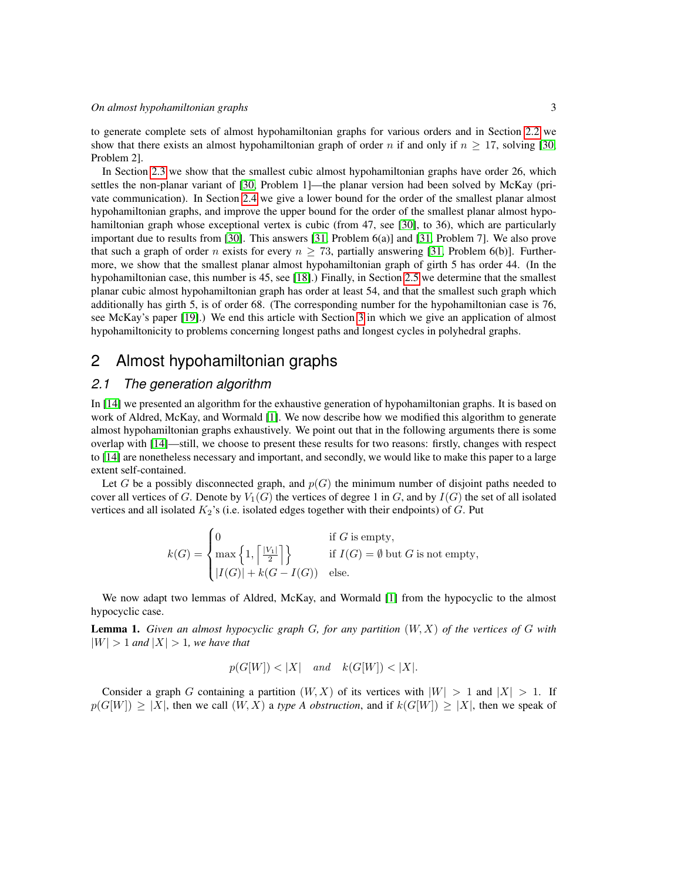to generate complete sets of almost hypohamiltonian graphs for various orders and in Section [2.2](#page-5-0) we show that there exists an almost hypohamiltonian graph of order n if and only if  $n \geq 17$ , solving [\[30,](#page-17-1) Problem 2].

In Section [2.3](#page-8-0) we show that the smallest cubic almost hypohamiltonian graphs have order 26, which settles the non-planar variant of [\[30,](#page-17-1) Problem 1]—the planar version had been solved by McKay (private communication). In Section [2.4](#page-10-0) we give a lower bound for the order of the smallest planar almost hypohamiltonian graphs, and improve the upper bound for the order of the smallest planar almost hypohamiltonian graph whose exceptional vertex is cubic (from 47, see [\[30\]](#page-17-1), to 36), which are particularly important due to results from [\[30\]](#page-17-1). This answers [\[31,](#page-17-10) Problem 6(a)] and [\[31,](#page-17-10) Problem 7]. We also prove that such a graph of order n exists for every  $n > 73$ , partially answering [\[31,](#page-17-10) Problem 6(b)]. Furthermore, we show that the smallest planar almost hypohamiltonian graph of girth 5 has order 44. (In the hypohamiltonian case, this number is 45, see [\[18\]](#page-16-1).) Finally, in Section [2.5](#page-13-0) we determine that the smallest planar cubic almost hypohamiltonian graph has order at least 54, and that the smallest such graph which additionally has girth 5, is of order 68. (The corresponding number for the hypohamiltonian case is 76, see McKay's paper [\[19\]](#page-16-7).) We end this article with Section [3](#page-14-0) in which we give an application of almost hypohamiltonicity to problems concerning longest paths and longest cycles in polyhedral graphs.

# <span id="page-2-0"></span>2 Almost hypohamiltonian graphs

#### <span id="page-2-1"></span>*2.1 The generation algorithm*

In [\[14\]](#page-16-8) we presented an algorithm for the exhaustive generation of hypohamiltonian graphs. It is based on work of Aldred, McKay, and Wormald [\[1\]](#page-15-0). We now describe how we modified this algorithm to generate almost hypohamiltonian graphs exhaustively. We point out that in the following arguments there is some overlap with [\[14\]](#page-16-8)—still, we choose to present these results for two reasons: firstly, changes with respect to [\[14\]](#page-16-8) are nonetheless necessary and important, and secondly, we would like to make this paper to a large extent self-contained.

Let G be a possibly disconnected graph, and  $p(G)$  the minimum number of disjoint paths needed to cover all vertices of G. Denote by  $V_1(G)$  the vertices of degree 1 in G, and by  $I(G)$  the set of all isolated vertices and all isolated  $K_2$ 's (i.e. isolated edges together with their endpoints) of G. Put

$$
k(G) = \begin{cases} 0 & \text{if } G \text{ is empty,} \\ \max\left\{1, \left\lceil \frac{|V_1|}{2} \right\rceil \right\} & \text{if } I(G) = \emptyset \text{ but } G \text{ is not empty,} \\ |I(G)| + k(G - I(G)) & \text{else.} \end{cases}
$$

We now adapt two lemmas of Aldred, McKay, and Wormald [\[1\]](#page-15-0) from the hypocyclic to the almost hypocyclic case.

<span id="page-2-2"></span>Lemma 1. *Given an almost hypocyclic graph* G*, for any partition* (W, X) *of the vertices of* G *with*  $|W| > 1$  *and*  $|X| > 1$ *, we have that* 

$$
p(G[W]) < |X|
$$
 and  $k(G[W]) < |X|$ .

Consider a graph G containing a partition  $(W, X)$  of its vertices with  $|W| > 1$  and  $|X| > 1$ . If  $p(G[W]) \ge |X|$ , then we call  $(W, X)$  a *type A obstruction*, and if  $k(G[W]) \ge |X|$ , then we speak of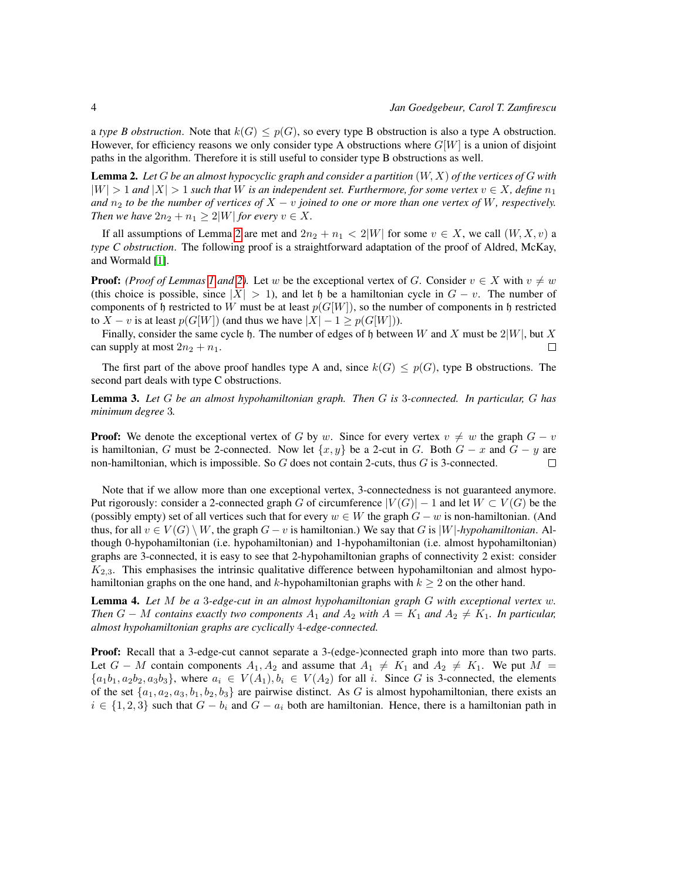a *type B obstruction*. Note that  $k(G) \leq p(G)$ , so every type B obstruction is also a type A obstruction. However, for efficiency reasons we only consider type A obstructions where  $G[W]$  is a union of disjoint paths in the algorithm. Therefore it is still useful to consider type B obstructions as well.

<span id="page-3-0"></span>Lemma 2. *Let* G *be an almost hypocyclic graph and consider a partition* (W, X) *of the vertices of* G *with*  $|W| > 1$  and  $|X| > 1$  such that W is an independent set. Furthermore, for some vertex  $v \in X$ , define  $n_1$ *and*  $n_2$  *to be the number of vertices of*  $X - v$  *joined to one or more than one vertex of* W, respectively. *Then we have*  $2n_2 + n_1 \geq 2|W|$  *for every*  $v \in X$ .

If all assumptions of Lemma [2](#page-3-0) are met and  $2n_2 + n_1 < 2|W|$  for some  $v \in X$ , we call  $(W, X, v)$  a *type C obstruction*. The following proof is a straightforward adaptation of the proof of Aldred, McKay, and Wormald [\[1\]](#page-15-0).

**Proof:** *(Proof of Lemmas [1](#page-2-2) and [2\)](#page-3-0)*. Let w be the exceptional vertex of G. Consider  $v \in X$  with  $v \neq w$ (this choice is possible, since  $|X| > 1$ ), and let h be a hamiltonian cycle in  $G - v$ . The number of components of h restricted to W must be at least  $p(G[W])$ , so the number of components in h restricted to  $X - v$  is at least  $p(G[W])$  (and thus we have  $|X| - 1 \geq p(G[W]))$ .

Finally, consider the same cycle h. The number of edges of h between W and X must be  $2|W|$ , but X can supply at most  $2n_2 + n_1$ .  $\Box$ 

The first part of the above proof handles type A and, since  $k(G) \leq p(G)$ , type B obstructions. The second part deals with type C obstructions.

Lemma 3. *Let* G *be an almost hypohamiltonian graph. Then* G *is* 3*-connected. In particular,* G *has minimum degree* 3*.*

**Proof:** We denote the exceptional vertex of G by w. Since for every vertex  $v \neq w$  the graph  $G - v$ is hamiltonian, G must be 2-connected. Now let  $\{x, y\}$  be a 2-cut in G. Both  $G - x$  and  $G - y$  are non-hamiltonian, which is impossible. So  $G$  does not contain 2-cuts, thus  $G$  is 3-connected.  $\Box$ 

Note that if we allow more than one exceptional vertex, 3-connectedness is not guaranteed anymore. Put rigorously: consider a 2-connected graph G of circumference  $|V(G)| - 1$  and let  $W \subset V(G)$  be the (possibly empty) set of all vertices such that for every  $w \in W$  the graph  $G - w$  is non-hamiltonian. (And thus, for all  $v \in V(G) \setminus W$ , the graph  $G - v$  is hamiltonian.) We say that G is |W|-hypohamiltonian. Although 0-hypohamiltonian (i.e. hypohamiltonian) and 1-hypohamiltonian (i.e. almost hypohamiltonian) graphs are 3-connected, it is easy to see that 2-hypohamiltonian graphs of connectivity 2 exist: consider  $K_{2,3}$ . This emphasises the intrinsic qualitative difference between hypohamiltonian and almost hypohamiltonian graphs on the one hand, and k-hypohamiltonian graphs with  $k > 2$  on the other hand.

<span id="page-3-1"></span>Lemma 4. *Let* M *be a* 3*-edge-cut in an almost hypohamiltonian graph* G *with exceptional vertex* w*. Then*  $G - M$  *contains exactly two components*  $A_1$  *and*  $A_2$  *with*  $A = K_1$  *and*  $A_2 \neq K_1$ *. In particular, almost hypohamiltonian graphs are cyclically* 4*-edge-connected.*

Proof: Recall that a 3-edge-cut cannot separate a 3-(edge-)connected graph into more than two parts. Let  $G - M$  contain components  $A_1, A_2$  and assume that  $A_1 \neq K_1$  and  $A_2 \neq K_1$ . We put  $M =$  ${a_1b_1, a_2b_2, a_3b_3}$ , where  $a_i \in V(A_1), b_i \in V(A_2)$  for all i. Since G is 3-connected, the elements of the set  $\{a_1, a_2, a_3, b_1, b_2, b_3\}$  are pairwise distinct. As G is almost hypohamiltonian, there exists an  $i \in \{1, 2, 3\}$  such that  $G - b_i$  and  $G - a_i$  both are hamiltonian. Hence, there is a hamiltonian path in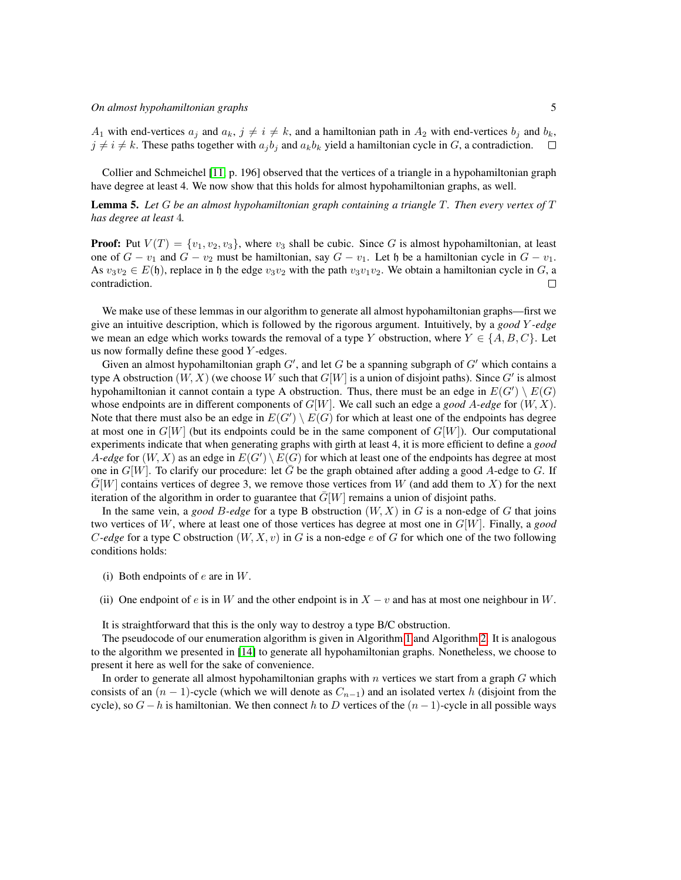$A_1$  with end-vertices  $a_i$  and  $a_k$ ,  $j \neq i \neq k$ , and a hamiltonian path in  $A_2$  with end-vertices  $b_i$  and  $b_k$ ,  $j \neq i \neq k$ . These paths together with  $a_j b_j$  and  $a_k b_k$  yield a hamiltonian cycle in G, a contradiction.

Collier and Schmeichel [\[11,](#page-16-9) p. 196] observed that the vertices of a triangle in a hypohamiltonian graph have degree at least 4. We now show that this holds for almost hypohamiltonian graphs, as well.

<span id="page-4-0"></span>Lemma 5. *Let* G *be an almost hypohamiltonian graph containing a triangle* T*. Then every vertex of* T *has degree at least* 4*.*

**Proof:** Put  $V(T) = \{v_1, v_2, v_3\}$ , where  $v_3$  shall be cubic. Since G is almost hypohamiltonian, at least one of  $G - v_1$  and  $G - v_2$  must be hamiltonian, say  $G - v_1$ . Let h be a hamiltonian cycle in  $G - v_1$ . As  $v_3v_2 \in E(\mathfrak{h})$ , replace in  $\mathfrak{h}$  the edge  $v_3v_2$  with the path  $v_3v_1v_2$ . We obtain a hamiltonian cycle in G, a contradiction.  $\Box$ 

We make use of these lemmas in our algorithm to generate all almost hypohamiltonian graphs—first we give an intuitive description, which is followed by the rigorous argument. Intuitively, by a *good* Y *-edge* we mean an edge which works towards the removal of a type Y obstruction, where  $Y \in \{A, B, C\}$ . Let us now formally define these good  $Y$ -edges.

Given an almost hypohamiltonian graph  $G'$ , and let G be a spanning subgraph of  $G'$  which contains a type A obstruction  $(W, X)$  (we choose W such that  $G[W]$  is a union of disjoint paths). Since  $G'$  is almost hypohamiltonian it cannot contain a type A obstruction. Thus, there must be an edge in  $E(G') \setminus E(G)$ whose endpoints are in different components of G[W]. We call such an edge a *good* A*-edge* for (W, X). Note that there must also be an edge in  $E(G') \setminus E(G)$  for which at least one of the endpoints has degree at most one in  $G[W]$  (but its endpoints could be in the same component of  $G[W]$ ). Our computational experiments indicate that when generating graphs with girth at least 4, it is more efficient to define a *good* A-edge for  $(W, X)$  as an edge in  $E(G') \setminus E(G)$  for which at least one of the endpoints has degree at most one in  $G[W]$ . To clarify our procedure: let  $\overline{G}$  be the graph obtained after adding a good A-edge to G. If  $\overline{G}[W]$  contains vertices of degree 3, we remove those vertices from W (and add them to X) for the next iteration of the algorithm in order to guarantee that  $\bar{G}[W]$  remains a union of disjoint paths.

In the same vein, a *good* B-edge for a type B obstruction  $(W, X)$  in G is a non-edge of G that joins two vertices of W, where at least one of those vertices has degree at most one in G[W]. Finally, a *good* C-edge for a type C obstruction  $(W, X, v)$  in G is a non-edge e of G for which one of the two following conditions holds:

- (i) Both endpoints of  $e$  are in  $W$ .
- (ii) One endpoint of e is in W and the other endpoint is in  $X v$  and has at most one neighbour in W.

It is straightforward that this is the only way to destroy a type B/C obstruction.

The pseudocode of our enumeration algorithm is given in Algorithm [1](#page-5-1) and Algorithm [2.](#page-6-0) It is analogous to the algorithm we presented in [\[14\]](#page-16-8) to generate all hypohamiltonian graphs. Nonetheless, we choose to present it here as well for the sake of convenience.

In order to generate all almost hypohamiltonian graphs with  $n$  vertices we start from a graph  $G$  which consists of an  $(n - 1)$ -cycle (which we will denote as  $C_{n-1}$ ) and an isolated vertex h (disjoint from the cycle), so  $G - h$  is hamiltonian. We then connect h to D vertices of the  $(n - 1)$ -cycle in all possible ways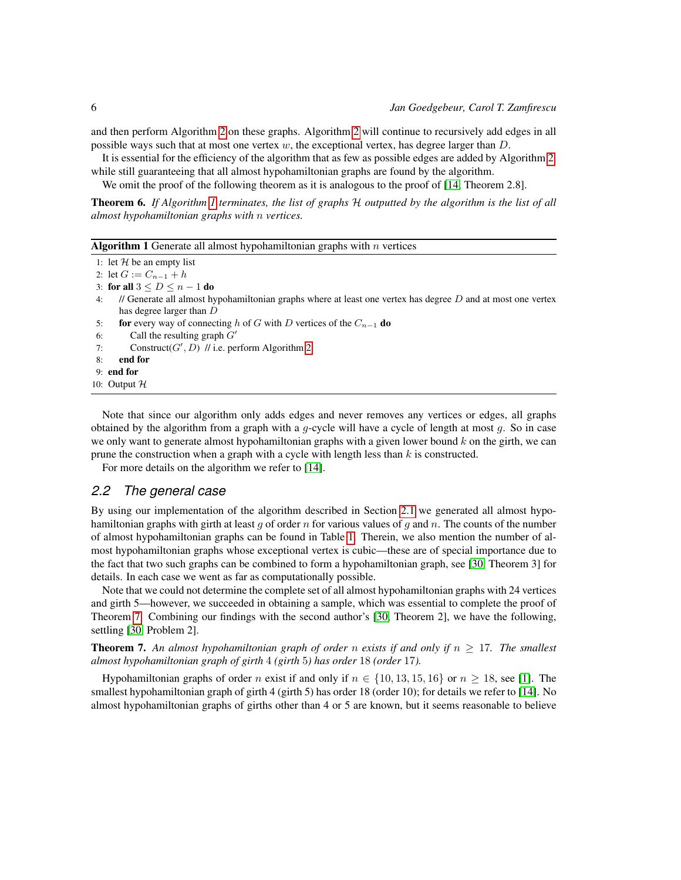and then perform Algorithm [2](#page-6-0) on these graphs. Algorithm [2](#page-6-0) will continue to recursively add edges in all possible ways such that at most one vertex  $w$ , the exceptional vertex, has degree larger than  $D$ .

It is essential for the efficiency of the algorithm that as few as possible edges are added by Algorithm [2,](#page-6-0) while still guaranteeing that all almost hypohamiltonian graphs are found by the algorithm.

We omit the proof of the following theorem as it is analogous to the proof of [\[14,](#page-16-8) Theorem 2.8].

Theorem 6. *If Algorithm [1](#page-5-1) terminates, the list of graphs* H *outputted by the algorithm is the list of all almost hypohamiltonian graphs with* n *vertices.*

<span id="page-5-1"></span>

```
1: let H be an empty list
2: let G := C_{n-1} + h
```
- 3: for all  $3 \le D \le n 1$  do
- 4: // Generate all almost hypohamiltonian graphs where at least one vertex has degree  $D$  and at most one vertex has degree larger than D
- 5: for every way of connecting h of G with D vertices of the  $C_{n-1}$  do
- 6: Call the resulting graph  $G'$
- 7: Construct( $G', D$ ) // i.e. perform Algorithm [2](#page-6-0)
- 8: end for
- 9: end for
- 10: Output H

Note that since our algorithm only adds edges and never removes any vertices or edges, all graphs obtained by the algorithm from a graph with a  $g$ -cycle will have a cycle of length at most  $g$ . So in case we only want to generate almost hypohamiltonian graphs with a given lower bound  $k$  on the girth, we can prune the construction when a graph with a cycle with length less than  $k$  is constructed.

For more details on the algorithm we refer to [\[14\]](#page-16-8).

#### <span id="page-5-0"></span>*2.2 The general case*

By using our implementation of the algorithm described in Section [2.1](#page-2-1) we generated all almost hypohamiltonian graphs with girth at least g of order n for various values of g and n. The counts of the number of almost hypohamiltonian graphs can be found in Table [1.](#page-7-0) Therein, we also mention the number of almost hypohamiltonian graphs whose exceptional vertex is cubic—these are of special importance due to the fact that two such graphs can be combined to form a hypohamiltonian graph, see [\[30,](#page-17-1) Theorem 3] for details. In each case we went as far as computationally possible.

Note that we could not determine the complete set of all almost hypohamiltonian graphs with 24 vertices and girth 5—however, we succeeded in obtaining a sample, which was essential to complete the proof of Theorem [7.](#page-5-2) Combining our findings with the second author's [\[30,](#page-17-1) Theorem 2], we have the following, settling [\[30,](#page-17-1) Problem 2].

<span id="page-5-2"></span>**Theorem 7.** An almost hypohamiltonian graph of order n exists if and only if  $n \geq 17$ . The smallest *almost hypohamiltonian graph of girth* 4 *(girth* 5*) has order* 18 *(order* 17*).*

Hypohamiltonian graphs of order n exist if and only if  $n \in \{10, 13, 15, 16\}$  or  $n \ge 18$ , see [\[1\]](#page-15-0). The smallest hypohamiltonian graph of girth 4 (girth 5) has order 18 (order 10); for details we refer to [\[14\]](#page-16-8). No almost hypohamiltonian graphs of girths other than 4 or 5 are known, but it seems reasonable to believe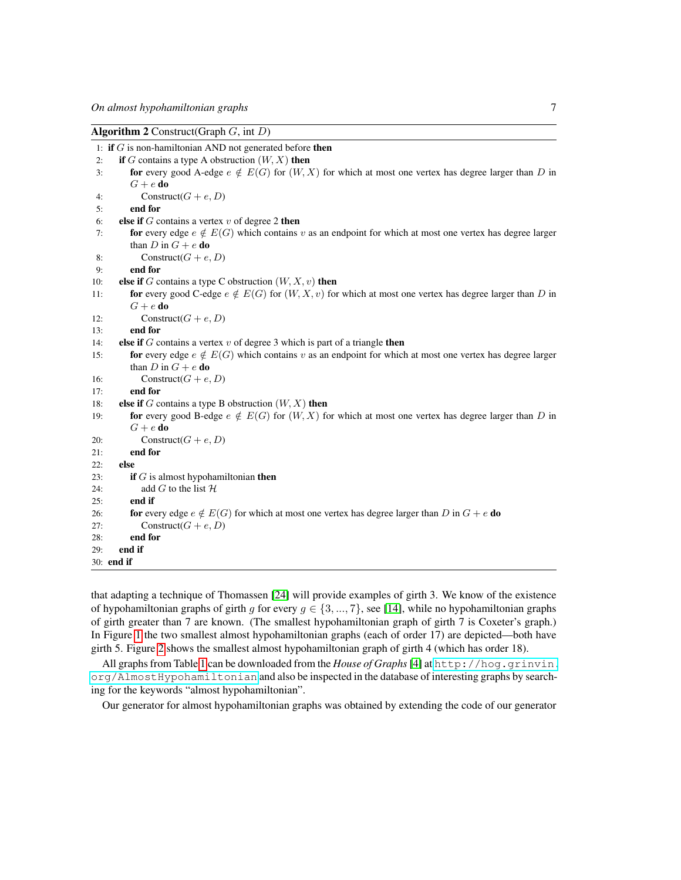<span id="page-6-0"></span>

| <b>Algorithm 2</b> Construct(Graph $G$ , int $D$ )                                                                    |  |  |  |  |  |
|-----------------------------------------------------------------------------------------------------------------------|--|--|--|--|--|
| 1: if $G$ is non-hamiltonian AND not generated before then                                                            |  |  |  |  |  |
| if G contains a type A obstruction $(W, X)$ then<br>2:                                                                |  |  |  |  |  |
| for every good A-edge $e \notin E(G)$ for $(W, X)$ for which at most one vertex has degree larger than D in<br>3:     |  |  |  |  |  |
| $G+e$ do                                                                                                              |  |  |  |  |  |
| Construct( $G + e, D$ )<br>4:                                                                                         |  |  |  |  |  |
| end for<br>5:                                                                                                         |  |  |  |  |  |
| else if $G$ contains a vertex $v$ of degree 2 then<br>6:                                                              |  |  |  |  |  |
| for every edge $e \notin E(G)$ which contains v as an endpoint for which at most one vertex has degree larger<br>7:   |  |  |  |  |  |
| than D in $G + e$ do                                                                                                  |  |  |  |  |  |
| Construct( $G + e, D$ )<br>8:                                                                                         |  |  |  |  |  |
| end for<br>9:                                                                                                         |  |  |  |  |  |
| else if G contains a type C obstruction $(W, X, v)$ then<br>10:                                                       |  |  |  |  |  |
| for every good C-edge $e \notin E(G)$ for $(W, X, v)$ for which at most one vertex has degree larger than D in<br>11: |  |  |  |  |  |
| $G+e$ do                                                                                                              |  |  |  |  |  |
| Construct( $G + e, D$ )<br>12:                                                                                        |  |  |  |  |  |
| end for<br>13:                                                                                                        |  |  |  |  |  |
| else if $G$ contains a vertex $v$ of degree 3 which is part of a triangle then<br>14:                                 |  |  |  |  |  |
| for every edge $e \notin E(G)$ which contains v as an endpoint for which at most one vertex has degree larger<br>15:  |  |  |  |  |  |
| than D in $G + e$ do                                                                                                  |  |  |  |  |  |
| Construct( $G + e, D$ )<br>16:                                                                                        |  |  |  |  |  |
| end for<br>17:                                                                                                        |  |  |  |  |  |
| else if G contains a type B obstruction $(W, X)$ then<br>18:                                                          |  |  |  |  |  |
| for every good B-edge $e \notin E(G)$ for $(W, X)$ for which at most one vertex has degree larger than D in<br>19:    |  |  |  |  |  |
| $G+e$ do                                                                                                              |  |  |  |  |  |
| Construct( $G + e, D$ )<br>20:                                                                                        |  |  |  |  |  |
| end for<br>21:                                                                                                        |  |  |  |  |  |
| else<br>22:                                                                                                           |  |  |  |  |  |
| <b>if</b> $G$ is almost hypohamiltonian <b>then</b><br>23:                                                            |  |  |  |  |  |
| add G to the list $H$<br>24:                                                                                          |  |  |  |  |  |
| end if<br>25:                                                                                                         |  |  |  |  |  |
| for every edge $e \notin E(G)$ for which at most one vertex has degree larger than D in $G + e$ do<br>26:             |  |  |  |  |  |
| Construct( $G + e, D$ )<br>27:                                                                                        |  |  |  |  |  |
| end for<br>28:                                                                                                        |  |  |  |  |  |
| end if<br>29:                                                                                                         |  |  |  |  |  |
| 30: end if                                                                                                            |  |  |  |  |  |

that adapting a technique of Thomassen [\[24\]](#page-17-11) will provide examples of girth 3. We know of the existence of hypohamiltonian graphs of girth g for every  $g \in \{3, ..., 7\}$ , see [\[14\]](#page-16-8), while no hypohamiltonian graphs of girth greater than 7 are known. (The smallest hypohamiltonian graph of girth 7 is Coxeter's graph.) In Figure [1](#page-7-1) the two smallest almost hypohamiltonian graphs (each of order 17) are depicted—both have girth 5. Figure [2](#page-7-2) shows the smallest almost hypohamiltonian graph of girth 4 (which has order 18).

All graphs from Table [1](#page-7-0) can be downloaded from the *House of Graphs* [\[4\]](#page-15-1) at [http://hog.grinvin.](http://hog.grinvin.org/AlmostHypohamiltonian) [org/AlmostHypohamiltonian](http://hog.grinvin.org/AlmostHypohamiltonian) and also be inspected in the database of interesting graphs by searching for the keywords "almost hypohamiltonian".

Our generator for almost hypohamiltonian graphs was obtained by extending the code of our generator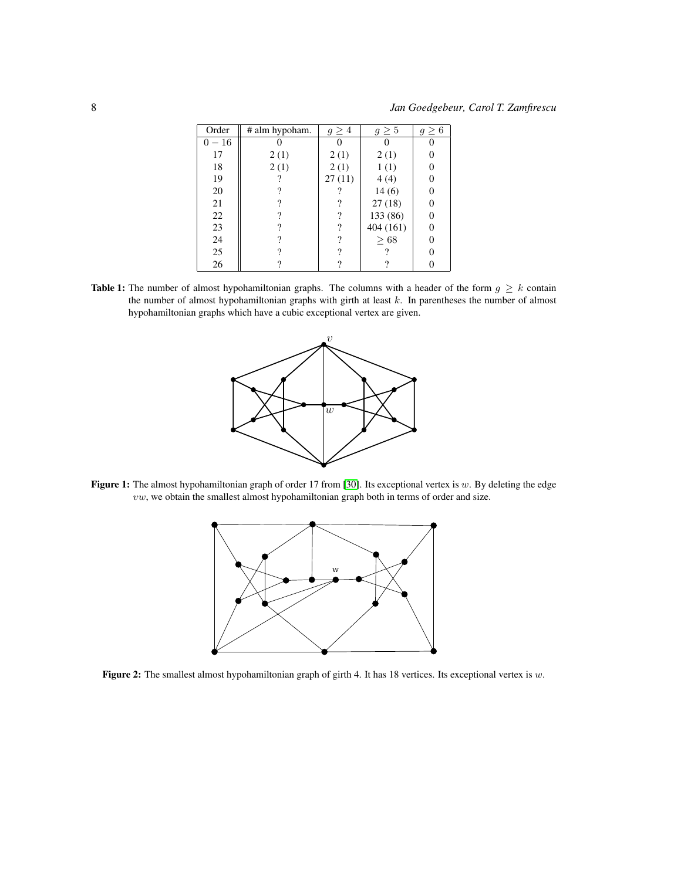<span id="page-7-0"></span>

| Order    | # alm hypoham. | $q \geq 4$ | $g\geq 5$ | $g \geq 6$ |
|----------|----------------|------------|-----------|------------|
| $0 - 16$ |                |            |           |            |
| 17       | 2(1)           | 2(1)       | 2(1)      |            |
| 18       | 2(1)           | 2(1)       | 1(1)      |            |
| 19       |                | 27(11)     | 4(4)      |            |
| 20       | 9              |            | 14(6)     |            |
| 21       | 7              | ?          | 27(18)    |            |
| 22       | 9              | ?          | 133 (86)  |            |
| 23       | 9              | ?          | 404 (161) |            |
| 24       | 9              | ?          | >68       |            |
| 25       | 9              | ?          |           |            |
| 26       |                | ?          |           |            |

<span id="page-7-1"></span>Table 1: The number of almost hypohamiltonian graphs. The columns with a header of the form  $g \geq k$  contain the number of almost hypohamiltonian graphs with girth at least k. In parentheses the number of almost hypohamiltonian graphs which have a cubic exceptional vertex are given.



<span id="page-7-2"></span>Figure 1: The almost hypohamiltonian graph of order 17 from [\[30\]](#page-17-1). Its exceptional vertex is  $w$ . By deleting the edge  $vw$ , we obtain the smallest almost hypohamiltonian graph both in terms of order and size.



Figure 2: The smallest almost hypohamiltonian graph of girth 4. It has 18 vertices. Its exceptional vertex is  $w$ .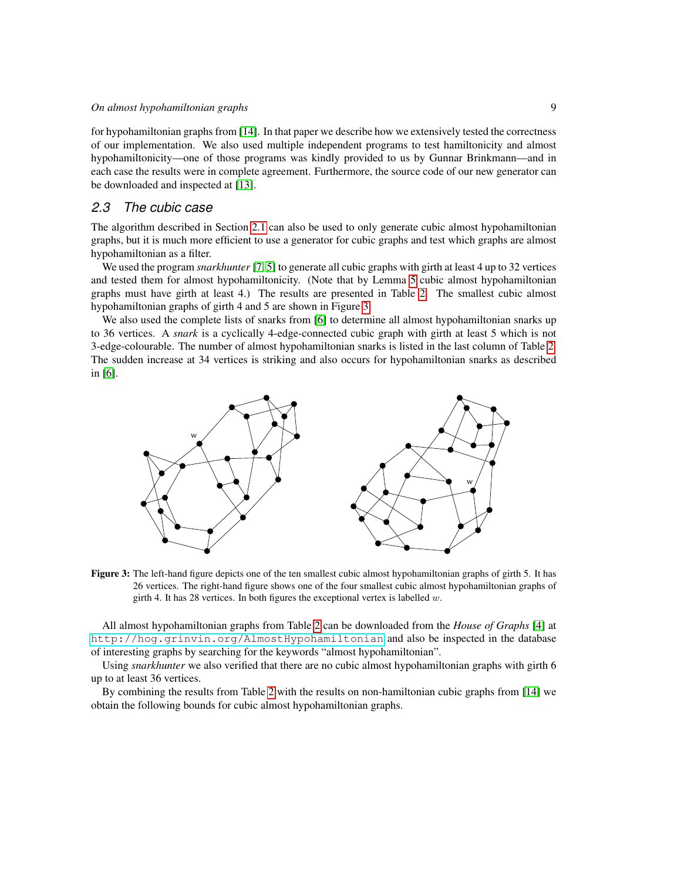for hypohamiltonian graphs from [\[14\]](#page-16-8). In that paper we describe how we extensively tested the correctness of our implementation. We also used multiple independent programs to test hamiltonicity and almost hypohamiltonicity—one of those programs was kindly provided to us by Gunnar Brinkmann—and in each case the results were in complete agreement. Furthermore, the source code of our new generator can be downloaded and inspected at [\[13\]](#page-16-10).

### <span id="page-8-0"></span>*2.3 The cubic case*

The algorithm described in Section [2.1](#page-2-1) can also be used to only generate cubic almost hypohamiltonian graphs, but it is much more efficient to use a generator for cubic graphs and test which graphs are almost hypohamiltonian as a filter.

We used the program *snarkhunter* [\[7,](#page-16-11) [5\]](#page-15-2) to generate all cubic graphs with girth at least 4 up to 32 vertices and tested them for almost hypohamiltonicity. (Note that by Lemma [5](#page-4-0) cubic almost hypohamiltonian graphs must have girth at least 4.) The results are presented in Table [2.](#page-9-0) The smallest cubic almost hypohamiltonian graphs of girth 4 and 5 are shown in Figure [3.](#page-8-1)

We also used the complete lists of snarks from [\[6\]](#page-16-12) to determine all almost hypohamiltonian snarks up to 36 vertices. A *snark* is a cyclically 4-edge-connected cubic graph with girth at least 5 which is not 3-edge-colourable. The number of almost hypohamiltonian snarks is listed in the last column of Table [2.](#page-9-0) The sudden increase at 34 vertices is striking and also occurs for hypohamiltonian snarks as described in [\[6\]](#page-16-12).

<span id="page-8-1"></span>

Figure 3: The left-hand figure depicts one of the ten smallest cubic almost hypohamiltonian graphs of girth 5. It has 26 vertices. The right-hand figure shows one of the four smallest cubic almost hypohamiltonian graphs of girth 4. It has 28 vertices. In both figures the exceptional vertex is labelled  $w$ .

All almost hypohamiltonian graphs from Table [2](#page-9-0) can be downloaded from the *House of Graphs* [\[4\]](#page-15-1) at <http://hog.grinvin.org/AlmostHypohamiltonian> and also be inspected in the database of interesting graphs by searching for the keywords "almost hypohamiltonian".

Using *snarkhunter* we also verified that there are no cubic almost hypohamiltonian graphs with girth 6 up to at least 36 vertices.

By combining the results from Table [2](#page-9-0) with the results on non-hamiltonian cubic graphs from [\[14\]](#page-16-8) we obtain the following bounds for cubic almost hypohamiltonian graphs.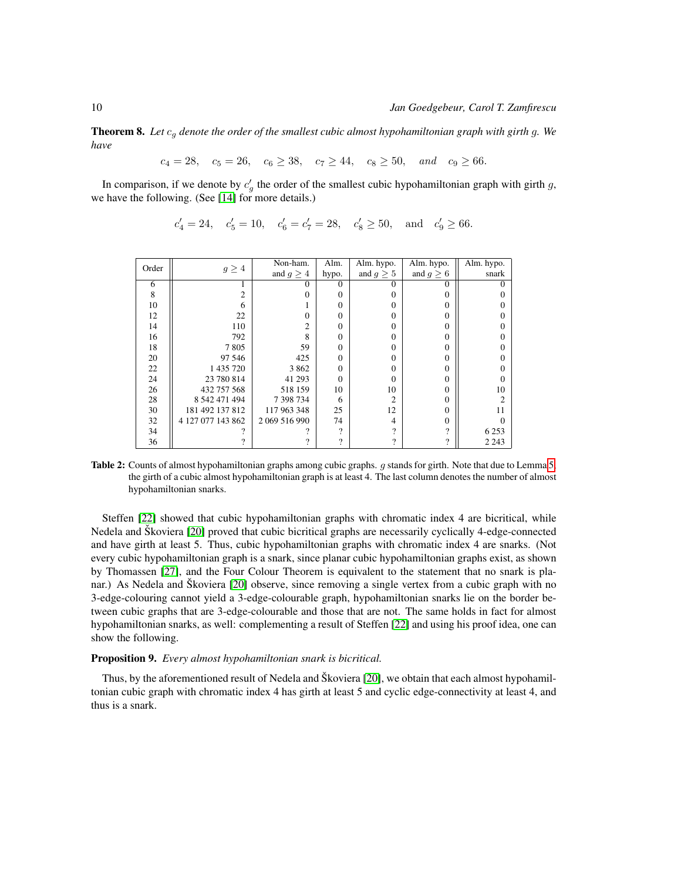Theorem 8. *Let* c<sup>g</sup> *denote the order of the smallest cubic almost hypohamiltonian graph with girth* g*. We have*

 $c_4 = 28$ ,  $c_5 = 26$ ,  $c_6 \ge 38$ ,  $c_7 \ge 44$ ,  $c_8 \ge 50$ , and  $c_9 \ge 66$ .

In comparison, if we denote by  $c'_g$  the order of the smallest cubic hypohamiltonian graph with girth g, we have the following. (See [\[14\]](#page-16-8) for more details.)

 $c'_4 = 24$ ,  $c'_5 = 10$ ,  $c'_6 = c'_7 = 28$ ,  $c'_8 \ge 50$ , and  $c'_9 \ge 66$ .

<span id="page-9-0"></span>

| Order |                   | Non-ham.       | Alm.     | Alm. hypo.     | Alm. hypo.        | Alm. hypo. |
|-------|-------------------|----------------|----------|----------------|-------------------|------------|
|       | $g \geq 4$        | and $g \geq 4$ | hypo.    | and $g \geq 5$ | and $g \geq 6$    | snark      |
| 6     |                   | 0              | $\Omega$ | 0              | $\mathbf{\Omega}$ |            |
| 8     |                   | 0              | 0        |                |                   |            |
| 10    |                   |                | 0        |                |                   |            |
| 12    | 22                | 0              | $\Omega$ |                |                   |            |
| 14    | 110               | 2              | $\Omega$ |                | 0                 |            |
| 16    | 792               | 8              | $\theta$ |                |                   |            |
| 18    | 7805              | 59             | $\theta$ |                |                   |            |
| 20    | 97 546            | 425            | $\theta$ |                |                   |            |
| 22    | 1 435 720         | 3 8 6 2        | $\theta$ |                | 0                 |            |
| 24    | 23 780 814        | 41 29 3        | $\Omega$ |                | 0                 |            |
| 26    | 432 757 568       | 518 159        | 10       | 10             | 0                 | 10         |
| 28    | 8 542 471 494     | 7 398 734      | 6        | 2              | 0                 |            |
| 30    | 181 492 137 812   | 117 963 348    | 25       | 12             | 0                 | 11         |
| 32    | 4 127 077 143 862 | 2 069 516 990  | 74       | 4              | 0                 |            |
| 34    |                   |                | റ        | റ              | 9                 | 6 2 5 3    |
| 36    |                   | 9              | 9        | າ              | ?                 | 2 2 4 3    |

Table 2: Counts of almost hypohamiltonian graphs among cubic graphs. g stands for girth. Note that due to Lemma [5,](#page-4-0) the girth of a cubic almost hypohamiltonian graph is at least 4. The last column denotes the number of almost hypohamiltonian snarks.

Steffen [\[22\]](#page-16-6) showed that cubic hypohamiltonian graphs with chromatic index 4 are bicritical, while Nedela and Škoviera [\[20\]](#page-16-13) proved that cubic bicritical graphs are necessarily cyclically 4-edge-connected and have girth at least 5. Thus, cubic hypohamiltonian graphs with chromatic index 4 are snarks. (Not every cubic hypohamiltonian graph is a snark, since planar cubic hypohamiltonian graphs exist, as shown by Thomassen [\[27\]](#page-17-3), and the Four Colour Theorem is equivalent to the statement that no snark is pla-nar.) As Nedela and Škoviera [\[20\]](#page-16-13) observe, since removing a single vertex from a cubic graph with no 3-edge-colouring cannot yield a 3-edge-colourable graph, hypohamiltonian snarks lie on the border between cubic graphs that are 3-edge-colourable and those that are not. The same holds in fact for almost hypohamiltonian snarks, as well: complementing a result of Steffen [\[22\]](#page-16-6) and using his proof idea, one can show the following.

#### Proposition 9. *Every almost hypohamiltonian snark is bicritical.*

Thus, by the aforementioned result of Nedela and Škoviera [\[20\]](#page-16-13), we obtain that each almost hypohamiltonian cubic graph with chromatic index 4 has girth at least 5 and cyclic edge-connectivity at least 4, and thus is a snark.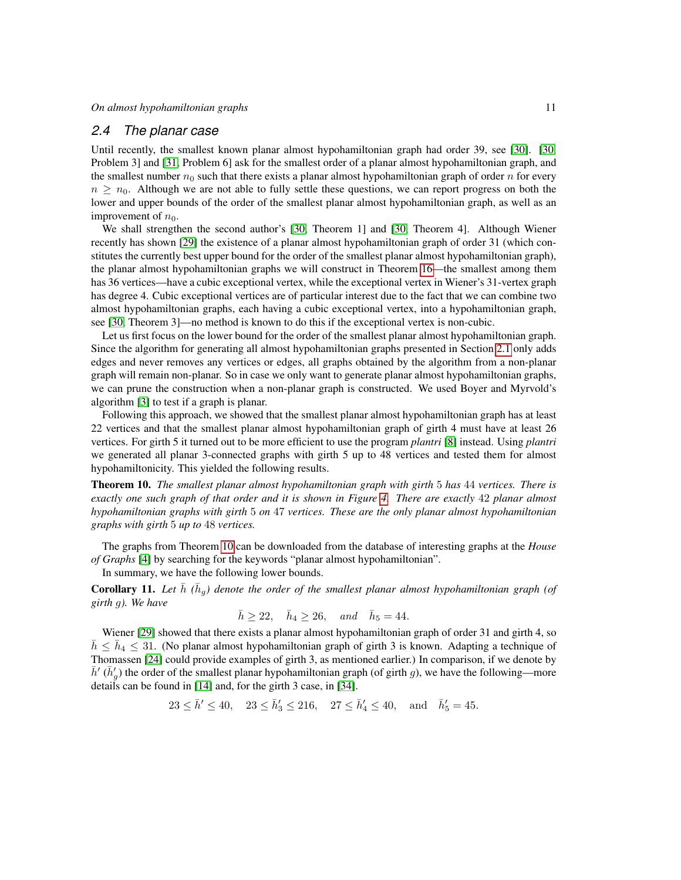### <span id="page-10-0"></span>*2.4 The planar case*

Until recently, the smallest known planar almost hypohamiltonian graph had order 39, see [\[30\]](#page-17-1). [\[30,](#page-17-1) Problem 3] and [\[31,](#page-17-10) Problem 6] ask for the smallest order of a planar almost hypohamiltonian graph, and the smallest number  $n_0$  such that there exists a planar almost hypohamiltonian graph of order n for every  $n \geq n_0$ . Although we are not able to fully settle these questions, we can report progress on both the lower and upper bounds of the order of the smallest planar almost hypohamiltonian graph, as well as an improvement of  $n_0$ .

We shall strengthen the second author's [\[30,](#page-17-1) Theorem 1] and [\[30,](#page-17-1) Theorem 4]. Although Wiener recently has shown [\[29\]](#page-17-6) the existence of a planar almost hypohamiltonian graph of order 31 (which constitutes the currently best upper bound for the order of the smallest planar almost hypohamiltonian graph), the planar almost hypohamiltonian graphs we will construct in Theorem [16—](#page-12-0)the smallest among them has 36 vertices—have a cubic exceptional vertex, while the exceptional vertex in Wiener's 31-vertex graph has degree 4. Cubic exceptional vertices are of particular interest due to the fact that we can combine two almost hypohamiltonian graphs, each having a cubic exceptional vertex, into a hypohamiltonian graph, see [\[30,](#page-17-1) Theorem 3]—no method is known to do this if the exceptional vertex is non-cubic.

Let us first focus on the lower bound for the order of the smallest planar almost hypohamiltonian graph. Since the algorithm for generating all almost hypohamiltonian graphs presented in Section [2.1](#page-2-1) only adds edges and never removes any vertices or edges, all graphs obtained by the algorithm from a non-planar graph will remain non-planar. So in case we only want to generate planar almost hypohamiltonian graphs, we can prune the construction when a non-planar graph is constructed. We used Boyer and Myrvold's algorithm [\[3\]](#page-15-3) to test if a graph is planar.

Following this approach, we showed that the smallest planar almost hypohamiltonian graph has at least 22 vertices and that the smallest planar almost hypohamiltonian graph of girth 4 must have at least 26 vertices. For girth 5 it turned out to be more efficient to use the program *plantri* [\[8\]](#page-16-14) instead. Using *plantri* we generated all planar 3-connected graphs with girth 5 up to 48 vertices and tested them for almost hypohamiltonicity. This yielded the following results.

<span id="page-10-1"></span>Theorem 10. *The smallest planar almost hypohamiltonian graph with girth* 5 *has* 44 *vertices. There is exactly one such graph of that order and it is shown in Figure [4.](#page-11-0) There are exactly* 42 *planar almost hypohamiltonian graphs with girth* 5 *on* 47 *vertices. These are the only planar almost hypohamiltonian graphs with girth* 5 *up to* 48 *vertices.*

The graphs from Theorem [10](#page-10-1) can be downloaded from the database of interesting graphs at the *House of Graphs* [\[4\]](#page-15-1) by searching for the keywords "planar almost hypohamiltonian".

In summary, we have the following lower bounds.

**Corollary 11.** Let  $\bar{h}$  ( $\bar{h}_g$ ) denote the order of the smallest planar almost hypohamiltonian graph (of *girth* g*). We have*

$$
\bar{h} \ge 22, \quad \bar{h}_4 \ge 26, \quad and \quad \bar{h}_5 = 44.
$$

Wiener [\[29\]](#page-17-6) showed that there exists a planar almost hypohamiltonian graph of order 31 and girth 4, so  $\bar{h} \leq \bar{h}_4 \leq 31$ . (No planar almost hypohamiltonian graph of girth 3 is known. Adapting a technique of Thomassen [\[24\]](#page-17-11) could provide examples of girth 3, as mentioned earlier.) In comparison, if we denote by  $\bar{h}'$  ( $\bar{h}'_g$ ) the order of the smallest planar hypohamiltonian graph (of girth g), we have the following—more details can be found in [\[14\]](#page-16-8) and, for the girth 3 case, in [\[34\]](#page-17-5).

$$
23 \le \bar{h}' \le 40, \quad 23 \le \bar{h}'_3 \le 216, \quad 27 \le \bar{h}'_4 \le 40, \quad \text{and} \quad \bar{h}'_5 = 45.
$$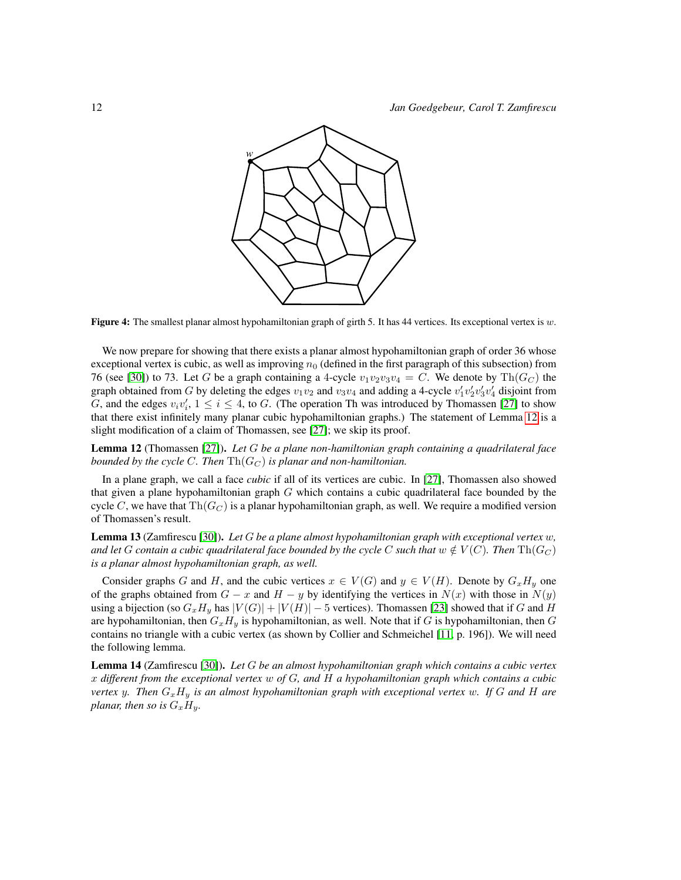<span id="page-11-0"></span>

Figure 4: The smallest planar almost hypohamiltonian graph of girth 5. It has 44 vertices. Its exceptional vertex is  $w$ .

We now prepare for showing that there exists a planar almost hypohamiltonian graph of order 36 whose exceptional vertex is cubic, as well as improving  $n_0$  (defined in the first paragraph of this subsection) from 76 (see [\[30\]](#page-17-1)) to 73. Let G be a graph containing a 4-cycle  $v_1v_2v_3v_4 = C$ . We denote by Th $(G_C)$  the graph obtained from G by deleting the edges  $v_1v_2$  and  $v_3v_4$  and adding a 4-cycle  $v'_1v'_2v'_3v'_4$  disjoint from G, and the edges  $v_i v'_i$ ,  $1 \le i \le 4$ , to G. (The operation Th was introduced by Thomassen [\[27\]](#page-17-3) to show that there exist infinitely many planar cubic hypohamiltonian graphs.) The statement of Lemma [12](#page-11-1) is a slight modification of a claim of Thomassen, see [\[27\]](#page-17-3); we skip its proof.

<span id="page-11-1"></span>Lemma 12 (Thomassen [\[27\]](#page-17-3)). *Let* G *be a plane non-hamiltonian graph containing a quadrilateral face bounded by the cycle C. Then*  $\mathrm{Th}(G_C)$  *is planar and non-hamiltonian.* 

In a plane graph, we call a face *cubic* if all of its vertices are cubic. In [\[27\]](#page-17-3), Thomassen also showed that given a plane hypohamiltonian graph  $G$  which contains a cubic quadrilateral face bounded by the cycle C, we have that  $\text{Th}(G_C)$  is a planar hypohamiltonian graph, as well. We require a modified version of Thomassen's result.

<span id="page-11-2"></span>Lemma 13 (Zamfirescu [\[30\]](#page-17-1)). *Let* G *be a plane almost hypohamiltonian graph with exceptional vertex* w*, and let* G *contain a cubic quadrilateral face bounded by the cycle* C *such that*  $w \notin V(C)$ *. Then*  $\text{Th}(G_C)$ *is a planar almost hypohamiltonian graph, as well.*

Consider graphs G and H, and the cubic vertices  $x \in V(G)$  and  $y \in V(H)$ . Denote by  $G_x H_y$  one of the graphs obtained from  $G - x$  and  $H - y$  by identifying the vertices in  $N(x)$  with those in  $N(y)$ using a bijection (so  $G_xH_y$  has  $|V(G)| + |V(H)| - 5$  vertices). Thomassen [\[23\]](#page-17-8) showed that if G and H are hypohamiltonian, then  $G_xH_y$  is hypohamiltonian, as well. Note that if G is hypohamiltonian, then G contains no triangle with a cubic vertex (as shown by Collier and Schmeichel [\[11,](#page-16-9) p. 196]). We will need the following lemma.

<span id="page-11-3"></span>Lemma 14 (Zamfirescu [\[30\]](#page-17-1)). *Let* G *be an almost hypohamiltonian graph which contains a cubic vertex* x *different from the exceptional vertex* w *of* G*, and* H *a hypohamiltonian graph which contains a cubic vertex* y. Then  $G_xH_y$  *is an almost hypohamiltonian graph with exceptional vertex w. If* G *and* H *are planar, then so is*  $G_xH_y$ .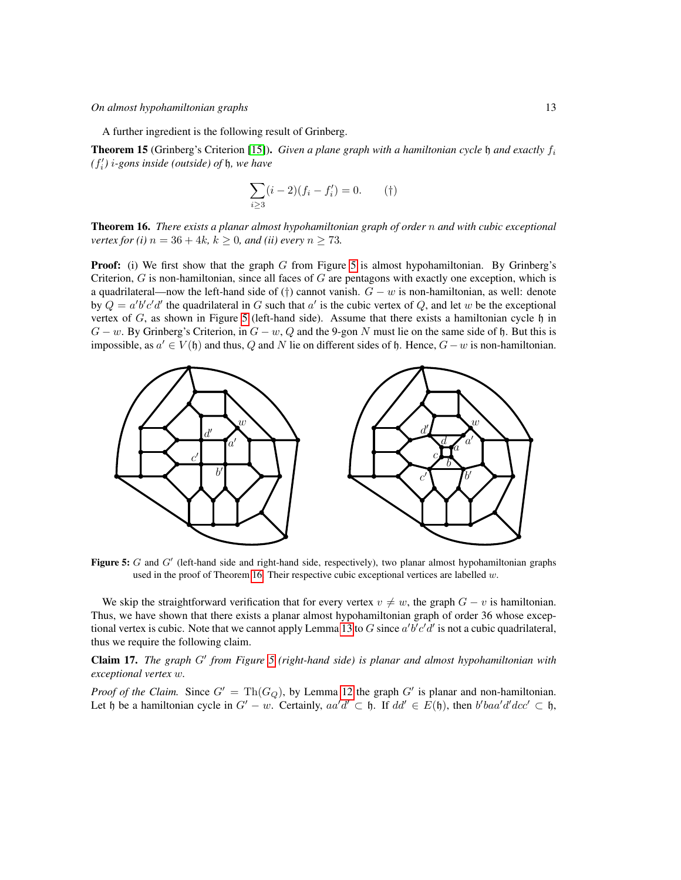#### *On almost hypohamiltonian graphs* 13

A further ingredient is the following result of Grinberg.

**Theorem 15** (Grinberg's Criterion [\[15\]](#page-16-15)). *Given a plane graph with a hamiltonian cycle*  $\mathfrak h$  *and exactly*  $f_i$  $(f'_{i})$  *i-gons inside (outside) of h, we have* 

$$
\sum_{i\geq 3} (i-2)(f_i - f'_i) = 0.
$$
 (†)

<span id="page-12-0"></span>Theorem 16. *There exists a planar almost hypohamiltonian graph of order* n *and with cubic exceptional vertex for (i)*  $n = 36 + 4k$ ,  $k > 0$ *, and (ii) every*  $n > 73$ *.* 

**Proof:** (i) We first show that the graph  $G$  from Figure [5](#page-12-1) is almost hypohamiltonian. By Grinberg's Criterion,  $G$  is non-hamiltonian, since all faces of  $G$  are pentagons with exactly one exception, which is a quadrilateral—now the left-hand side of (†) cannot vanish.  $G - w$  is non-hamiltonian, as well: denote by  $Q = a'b'c'd'$  the quadrilateral in G such that  $a'$  is the cubic vertex of Q, and let w be the exceptional vertex of  $G$ , as shown in Figure [5](#page-12-1) (left-hand side). Assume that there exists a hamiltonian cycle  $\mathfrak h$  in  $G - w$ . By Grinberg's Criterion, in  $G - w$ , Q and the 9-gon N must lie on the same side of h. But this is impossible, as  $a' \in V(\mathfrak{h})$  and thus, Q and N lie on different sides of  $\mathfrak{h}$ . Hence,  $G-w$  is non-hamiltonian.

<span id="page-12-1"></span>

Figure 5:  $G$  and  $G'$  (left-hand side and right-hand side, respectively), two planar almost hypohamiltonian graphs used in the proof of Theorem [16.](#page-12-0) Their respective cubic exceptional vertices are labelled  $w$ .

We skip the straightforward verification that for every vertex  $v \neq w$ , the graph  $G - v$  is hamiltonian. Thus, we have shown that there exists a planar almost hypohamiltonian graph of order 36 whose excep-tional vertex is cubic. Note that we cannot apply Lemma [13](#page-11-2) to G since  $a'b'c'd'$  is not a cubic quadrilateral, thus we require the following claim.

<span id="page-12-2"></span>Claim 17. The graph G' from Figure [5](#page-12-1) (right-hand side) is planar and almost hypohamiltonian with *exceptional vertex* w*.*

*Proof of the Claim.* Since  $G' = Th(G_Q)$ , by Lemma [12](#page-11-1) the graph  $G'$  is planar and non-hamiltonian. Let h be a hamiltonian cycle in  $G' - w$ . Certainly,  $aa'd' \subset \mathfrak{h}$ . If  $dd' \in E(\mathfrak{h})$ , then  $b'baa'd'dc' \subset \mathfrak{h}$ ,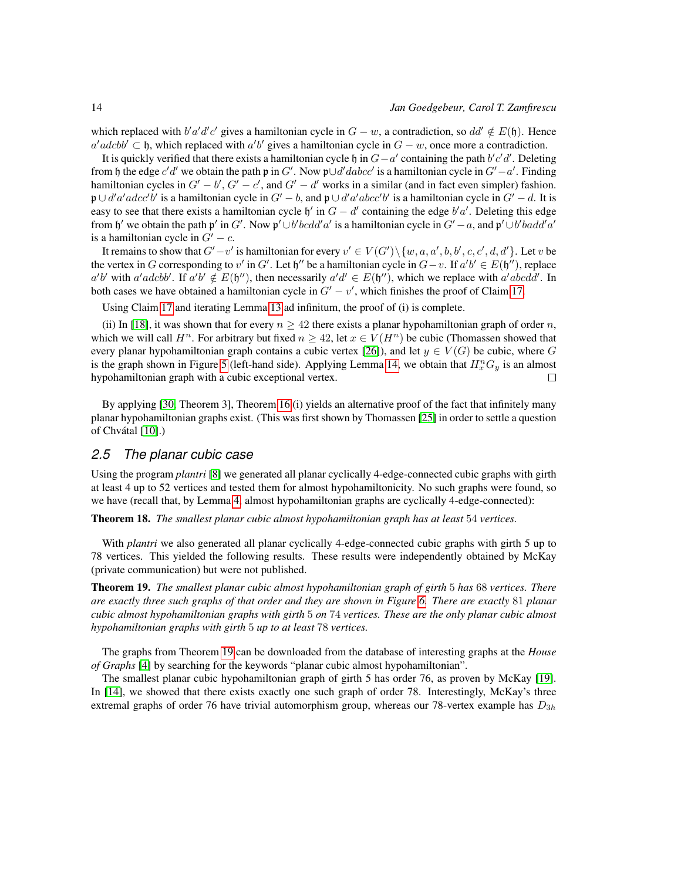which replaced with  $b'a'd'c'$  gives a hamiltonian cycle in  $G - w$ , a contradiction, so  $dd' \notin E(\mathfrak{h})$ . Hence  $a'adcbb' \subset \mathfrak{h}$ , which replaced with  $a'b'$  gives a hamiltonian cycle in  $G - w$ , once more a contradiction.

It is quickly verified that there exists a hamiltonian cycle h in  $G - a'$  containing the path b'c'd'. Deleting from h the edge c'd' we obtain the path p in G'. Now p∪d' dabcc' is a hamiltonian cycle in  $G'-a'$ . Finding hamiltonian cycles in  $G' - b'$ ,  $G' - c'$ , and  $G' - d'$  works in a similar (and in fact even simpler) fashion.  $\mathfrak{p} \cup d'a'adcc'b'$  is a hamiltonian cycle in  $G'-b$ , and  $\mathfrak{p} \cup d'a'abcc'b'$  is a hamiltonian cycle in  $G'-d$ . It is easy to see that there exists a hamiltonian cycle  $\mathfrak{h}'$  in  $G - d'$  containing the edge  $b'a'$ . Deleting this edge from  $\mathfrak{h}'$  we obtain the path  $\mathfrak{p}'$  in G'. Now  $\mathfrak{p}' \cup b'bcdd'a'$  is a hamiltonian cycle in  $G'-a$ , and  $\mathfrak{p}' \cup b'badd'a'$ is a hamiltonian cycle in  $G' - c$ .

It remains to show that  $G'-v'$  is hamiltonian for every  $v' \in V(G') \setminus \{w, a, a', b, b', c, c', d, d'\}$ . Let v be the vertex in G corresponding to v' in G'. Let  $\mathfrak{h}''$  be a hamiltonian cycle in  $G-v$ . If  $a'b' \in E(\mathfrak{h}'')$ , replace  $a'b'$  with  $a'adcbb'$ . If  $a'b' \notin E(\mathfrak{h}'')$ , then necessarily  $a'd' \in E(\mathfrak{h}'')$ , which we replace with  $a'abcd d'$ . In both cases we have obtained a hamiltonian cycle in  $G' - v'$ , which finishes the proof of Claim [17.](#page-12-2)

Using Claim [17](#page-12-2) and iterating Lemma [13](#page-11-2) ad infinitum, the proof of (i) is complete.

(ii) In [\[18\]](#page-16-1), it was shown that for every  $n \ge 42$  there exists a planar hypohamiltonian graph of order n, which we will call  $H^n$ . For arbitrary but fixed  $n \geq 42$ , let  $x \in V(H^n)$  be cubic (Thomassen showed that every planar hypohamiltonian graph contains a cubic vertex [\[26\]](#page-17-0)), and let  $y \in V(G)$  be cubic, where G is the graph shown in Figure [5](#page-12-1) (left-hand side). Applying Lemma [14,](#page-11-3) we obtain that  $H_x^nG_y$  is an almost hypohamiltonian graph with a cubic exceptional vertex.  $\Box$ 

By applying [\[30,](#page-17-1) Theorem 3], Theorem [16](#page-12-0) (i) yields an alternative proof of the fact that infinitely many planar hypohamiltonian graphs exist. (This was first shown by Thomassen [\[25\]](#page-17-2) in order to settle a question of Chvátal [\[10\]](#page-16-3).)

### <span id="page-13-0"></span>*2.5 The planar cubic case*

Using the program *plantri* [\[8\]](#page-16-14) we generated all planar cyclically 4-edge-connected cubic graphs with girth at least 4 up to 52 vertices and tested them for almost hypohamiltonicity. No such graphs were found, so we have (recall that, by Lemma [4,](#page-3-1) almost hypohamiltonian graphs are cyclically 4-edge-connected):

Theorem 18. *The smallest planar cubic almost hypohamiltonian graph has at least* 54 *vertices.*

With *plantri* we also generated all planar cyclically 4-edge-connected cubic graphs with girth 5 up to 78 vertices. This yielded the following results. These results were independently obtained by McKay (private communication) but were not published.

<span id="page-13-1"></span>Theorem 19. *The smallest planar cubic almost hypohamiltonian graph of girth* 5 *has* 68 *vertices. There are exactly three such graphs of that order and they are shown in Figure [6.](#page-14-1) There are exactly* 81 *planar cubic almost hypohamiltonian graphs with girth* 5 *on* 74 *vertices. These are the only planar cubic almost hypohamiltonian graphs with girth* 5 *up to at least* 78 *vertices.*

The graphs from Theorem [19](#page-13-1) can be downloaded from the database of interesting graphs at the *House of Graphs* [\[4\]](#page-15-1) by searching for the keywords "planar cubic almost hypohamiltonian".

The smallest planar cubic hypohamiltonian graph of girth 5 has order 76, as proven by McKay [\[19\]](#page-16-7). In [\[14\]](#page-16-8), we showed that there exists exactly one such graph of order 78. Interestingly, McKay's three extremal graphs of order 76 have trivial automorphism group, whereas our 78-vertex example has  $D_{3h}$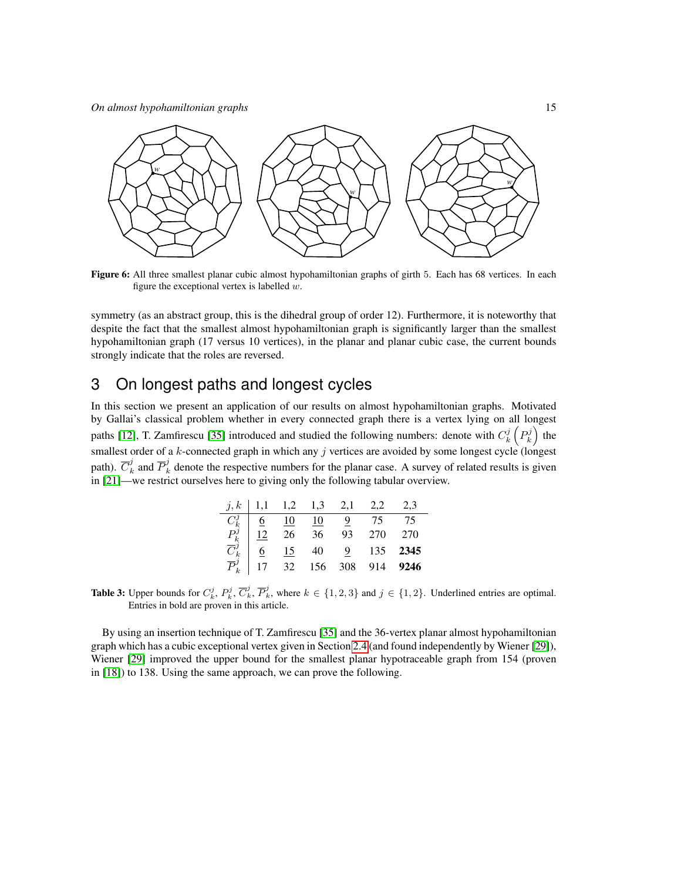*On almost hypohamiltonian graphs* 15

<span id="page-14-1"></span>

Figure 6: All three smallest planar cubic almost hypohamiltonian graphs of girth 5. Each has 68 vertices. In each figure the exceptional vertex is labelled  $w$ .

symmetry (as an abstract group, this is the dihedral group of order 12). Furthermore, it is noteworthy that despite the fact that the smallest almost hypohamiltonian graph is significantly larger than the smallest hypohamiltonian graph (17 versus 10 vertices), in the planar and planar cubic case, the current bounds strongly indicate that the roles are reversed.

# <span id="page-14-0"></span>3 On longest paths and longest cycles

In this section we present an application of our results on almost hypohamiltonian graphs. Motivated by Gallai's classical problem whether in every connected graph there is a vertex lying on all longest paths [\[12\]](#page-16-5), T. Zamfirescu [\[35\]](#page-17-12) introduced and studied the following numbers: denote with  $C_k^j\left(P_k^j\right)$  the smallest order of a k-connected graph in which any j vertices are avoided by some longest cycle (longest path).  $\overline{C}_k^j$  $\overline{P}_k^j$  and  $\overline{P}_k^j$  denote the respective numbers for the planar case. A survey of related results is given in [\[21\]](#page-16-16)—we restrict ourselves here to giving only the following tabular overview.

| i, k                  |    |    | $1,1$ $1,2$ $1,3$ $2,1$         |     |       | 2.3  |
|-----------------------|----|----|---------------------------------|-----|-------|------|
|                       |    | 10 | $\frac{10}{26}$ $\frac{10}{36}$ |     |       | 75   |
| $\frac{P_k^j}{C_k^j}$ | 12 |    |                                 | 93  | 270   | 270  |
|                       | 6  | 15 | $40\,$                          |     | 9 135 | 2345 |
| $\overline{P}_k^j$    |    | 32 | 156                             | 308 | 914   | 9246 |

**Table 3:** Upper bounds for  $C_k^j$ ,  $P_k^j$ ,  $\overline{C}_k^j$ ,  $\overline{P}_k^j$ , where  $k \in \{1,2,3\}$  and  $j \in \{1,2\}$ . Underlined entries are optimal. Entries in bold are proven in this article.

By using an insertion technique of T. Zamfirescu [\[35\]](#page-17-12) and the 36-vertex planar almost hypohamiltonian graph which has a cubic exceptional vertex given in Section [2.4](#page-10-0) (and found independently by Wiener [\[29\]](#page-17-6)), Wiener [\[29\]](#page-17-6) improved the upper bound for the smallest planar hypotraceable graph from 154 (proven in [\[18\]](#page-16-1)) to 138. Using the same approach, we can prove the following.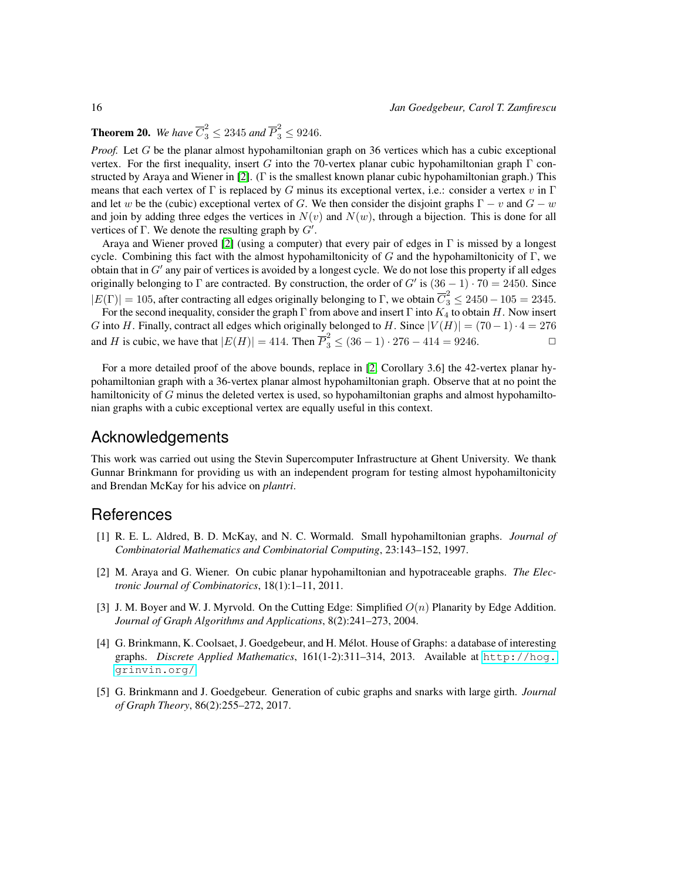**Theorem 20.** We have  $\overline{C}_3^2 \le 2345$  and  $\overline{P}_3^2 \le 9246$ .

*Proof.* Let G be the planar almost hypohamiltonian graph on 36 vertices which has a cubic exceptional vertex. For the first inequality, insert G into the 70-vertex planar cubic hypohamiltonian graph  $\Gamma$  constructed by Araya and Wiener in [\[2\]](#page-15-4). (Γ is the smallest known planar cubic hypohamiltonian graph.) This means that each vertex of  $\Gamma$  is replaced by G minus its exceptional vertex, i.e.: consider a vertex v in  $\Gamma$ and let w be the (cubic) exceptional vertex of G. We then consider the disjoint graphs  $\Gamma - v$  and  $G - w$ and join by adding three edges the vertices in  $N(v)$  and  $N(w)$ , through a bijection. This is done for all vertices of  $\Gamma$ . We denote the resulting graph by  $G'$ .

Araya and Wiener proved [\[2\]](#page-15-4) (using a computer) that every pair of edges in  $\Gamma$  is missed by a longest cycle. Combining this fact with the almost hypohamiltonicity of G and the hypohamiltonicity of  $\Gamma$ , we obtain that in  $G'$  any pair of vertices is avoided by a longest cycle. We do not lose this property if all edges originally belonging to  $\Gamma$  are contracted. By construction, the order of G' is  $(36 - 1) \cdot 70 = 2450$ . Since  $|E(\Gamma)| = 105$ , after contracting all edges originally belonging to  $\Gamma$ , we obtain  $\overline{C}_3^2 \le 2450 - 105 = 2345$ .

For the second inequality, consider the graph Γ from above and insert Γ into  $K_4$  to obtain H. Now insert G into H. Finally, contract all edges which originally belonged to H. Since  $|V(H)| = (70-1) \cdot 4 = 276$ and *H* is cubic, we have that  $|E(H)| = 414$ . Then  $\overline{P}_3^2 \le (36 - 1) \cdot 276 - 414 = 9246$ .

For a more detailed proof of the above bounds, replace in [\[2,](#page-15-4) Corollary 3.6] the 42-vertex planar hypohamiltonian graph with a 36-vertex planar almost hypohamiltonian graph. Observe that at no point the hamiltonicity of G minus the deleted vertex is used, so hypohamiltonian graphs and almost hypohamiltonian graphs with a cubic exceptional vertex are equally useful in this context.

### Acknowledgements

This work was carried out using the Stevin Supercomputer Infrastructure at Ghent University. We thank Gunnar Brinkmann for providing us with an independent program for testing almost hypohamiltonicity and Brendan McKay for his advice on *plantri*.

### **References**

- <span id="page-15-0"></span>[1] R. E. L. Aldred, B. D. McKay, and N. C. Wormald. Small hypohamiltonian graphs. *Journal of Combinatorial Mathematics and Combinatorial Computing*, 23:143–152, 1997.
- <span id="page-15-4"></span>[2] M. Araya and G. Wiener. On cubic planar hypohamiltonian and hypotraceable graphs. *The Electronic Journal of Combinatorics*, 18(1):1–11, 2011.
- <span id="page-15-3"></span>[3] J. M. Boyer and W. J. Myrvold. On the Cutting Edge: Simplified  $O(n)$  Planarity by Edge Addition. *Journal of Graph Algorithms and Applications*, 8(2):241–273, 2004.
- <span id="page-15-1"></span>[4] G. Brinkmann, K. Coolsaet, J. Goedgebeur, and H. Melot. House of Graphs: a database of interesting ´ graphs. *Discrete Applied Mathematics*, 161(1-2):311–314, 2013. Available at [http://hog.](http://hog.grinvin.org/) [grinvin.org/](http://hog.grinvin.org/).
- <span id="page-15-2"></span>[5] G. Brinkmann and J. Goedgebeur. Generation of cubic graphs and snarks with large girth. *Journal of Graph Theory*, 86(2):255–272, 2017.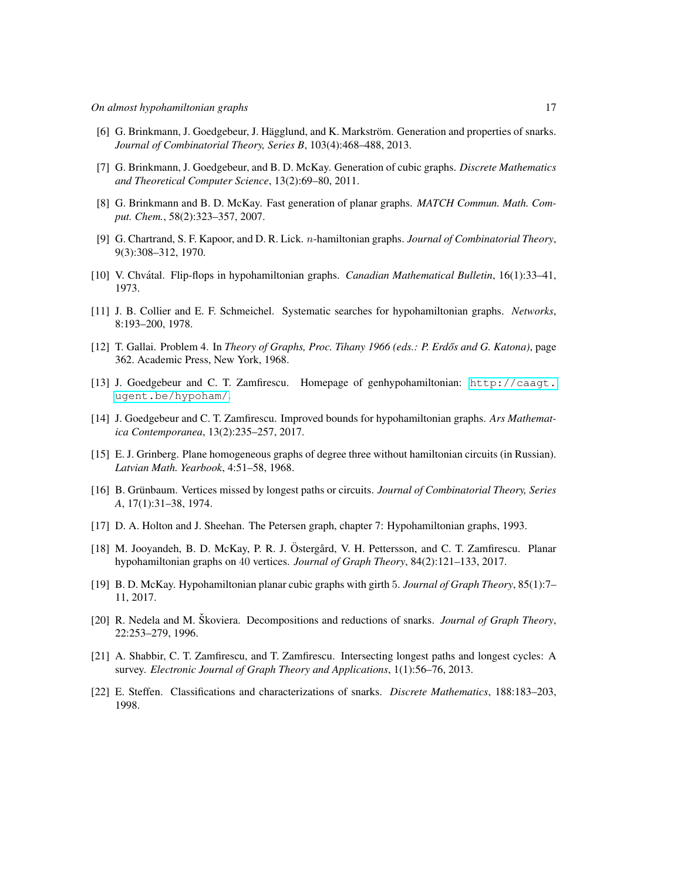- <span id="page-16-12"></span>[6] G. Brinkmann, J. Goedgebeur, J. Hägglund, and K. Markström. Generation and properties of snarks. *Journal of Combinatorial Theory, Series B*, 103(4):468–488, 2013.
- <span id="page-16-11"></span>[7] G. Brinkmann, J. Goedgebeur, and B. D. McKay. Generation of cubic graphs. *Discrete Mathematics and Theoretical Computer Science*, 13(2):69–80, 2011.
- <span id="page-16-14"></span>[8] G. Brinkmann and B. D. McKay. Fast generation of planar graphs. *MATCH Commun. Math. Comput. Chem.*, 58(2):323–357, 2007.
- <span id="page-16-2"></span>[9] G. Chartrand, S. F. Kapoor, and D. R. Lick. n-hamiltonian graphs. *Journal of Combinatorial Theory*, 9(3):308–312, 1970.
- <span id="page-16-3"></span>[10] V. Chvatal. Flip-flops in hypohamiltonian graphs. ´ *Canadian Mathematical Bulletin*, 16(1):33–41, 1973.
- <span id="page-16-9"></span>[11] J. B. Collier and E. F. Schmeichel. Systematic searches for hypohamiltonian graphs. *Networks*, 8:193–200, 1978.
- <span id="page-16-5"></span>[12] T. Gallai. Problem 4. In *Theory of Graphs, Proc. Tihany 1966 (eds.: P. Erdős and G. Katona)*, page 362. Academic Press, New York, 1968.
- <span id="page-16-10"></span>[13] J. Goedgebeur and C. T. Zamfirescu. Homepage of genhypohamiltonian: [http://caagt.](http://caagt.ugent.be/hypoham/) [ugent.be/hypoham/](http://caagt.ugent.be/hypoham/).
- <span id="page-16-8"></span>[14] J. Goedgebeur and C. T. Zamfirescu. Improved bounds for hypohamiltonian graphs. *Ars Mathematica Contemporanea*, 13(2):235–257, 2017.
- <span id="page-16-15"></span>[15] E. J. Grinberg. Plane homogeneous graphs of degree three without hamiltonian circuits (in Russian). *Latvian Math. Yearbook*, 4:51–58, 1968.
- <span id="page-16-4"></span>[16] B. Grünbaum. Vertices missed by longest paths or circuits. *Journal of Combinatorial Theory, Series A*, 17(1):31–38, 1974.
- <span id="page-16-0"></span>[17] D. A. Holton and J. Sheehan. The Petersen graph, chapter 7: Hypohamiltonian graphs, 1993.
- <span id="page-16-1"></span>[18] M. Jooyandeh, B. D. McKay, P. R. J. Östergård, V. H. Pettersson, and C. T. Zamfirescu. Planar hypohamiltonian graphs on 40 vertices. *Journal of Graph Theory*, 84(2):121–133, 2017.
- <span id="page-16-7"></span>[19] B. D. McKay. Hypohamiltonian planar cubic graphs with girth 5. *Journal of Graph Theory*, 85(1):7– 11, 2017.
- <span id="page-16-13"></span>[20] R. Nedela and M. Škoviera. Decompositions and reductions of snarks. *Journal of Graph Theory*, 22:253–279, 1996.
- <span id="page-16-16"></span>[21] A. Shabbir, C. T. Zamfirescu, and T. Zamfirescu. Intersecting longest paths and longest cycles: A survey. *Electronic Journal of Graph Theory and Applications*, 1(1):56–76, 2013.
- <span id="page-16-6"></span>[22] E. Steffen. Classifications and characterizations of snarks. *Discrete Mathematics*, 188:183–203, 1998.